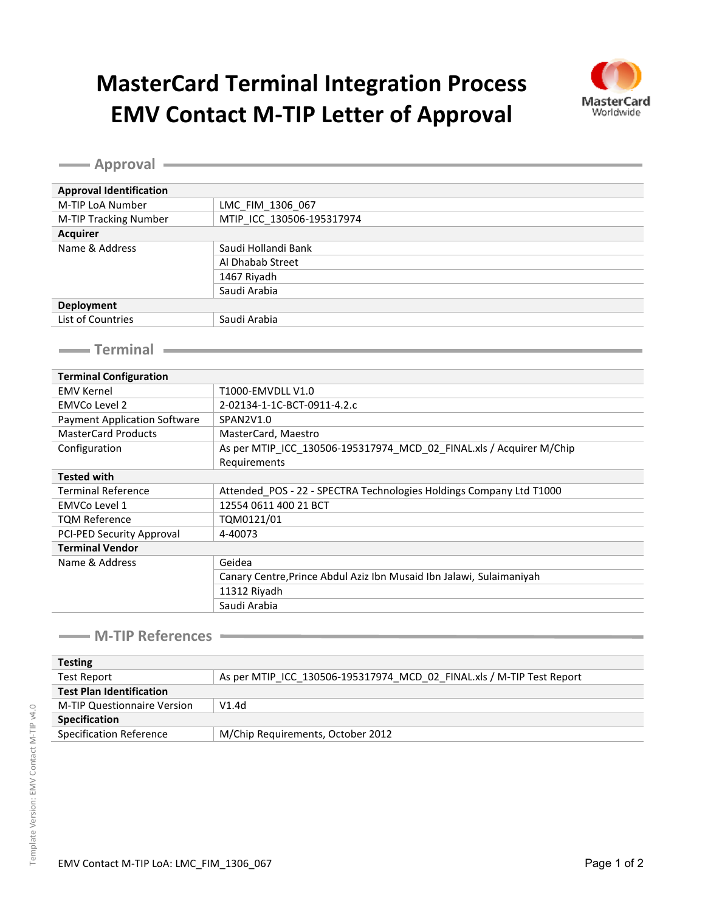## **MasterCard Terminal Integration Process EMV Contact M-TIP Letter of Approval**



**Approval Approval Identification** M-TIP LoA Number | LMC\_FIM\_1306\_067 M-TIP Tracking Number MTIP ICC 130506-195317974 **Acquirer** Name & Address Saudi Hollandi Bank Al Dhabab Street 1467 Riyadh Saudi Arabia **Deployment** List of Countries Saudi Arabia **Terminal Terminal Configuration** EMV Kernel T1000-EMVDLL V1.0 EMVCo Level 2 2-02134-1-1C-BCT-0911-4.2.c Payment Application Software | SPAN2V1.0 MasterCard Products MasterCard, Maestro Configuration **As per MTIP\_ICC\_130506-195317974\_MCD\_02\_FINAL.xls / Acquirer M/Chip** Requirements **Tested with** Terminal Reference **Attended\_POS - 22 - SPECTRA Technologies Holdings Company Ltd T1000** EMVCo Level 1 12554 0611 400 21 BCT TQM Reference TQM0121/01 PCI-PED Security Approval 4-40073 **Terminal Vendor** Name & Address Geidea Canary Centre,Prince Abdul Aziz Ibn Musaid Ibn Jalawi, Sulaimaniyah 11312 Riyadh Saudi Arabia

#### **M-TIP References**

| <b>Testing</b>                  |                                                                       |
|---------------------------------|-----------------------------------------------------------------------|
| Test Report                     | As per MTIP ICC 130506-195317974 MCD 02 FINAL.xls / M-TIP Test Report |
| <b>Test Plan Identification</b> |                                                                       |
| M-TIP Questionnaire Version     | V1.4d                                                                 |
| <b>Specification</b>            |                                                                       |
| Specification Reference         | M/Chip Requirements, October 2012                                     |